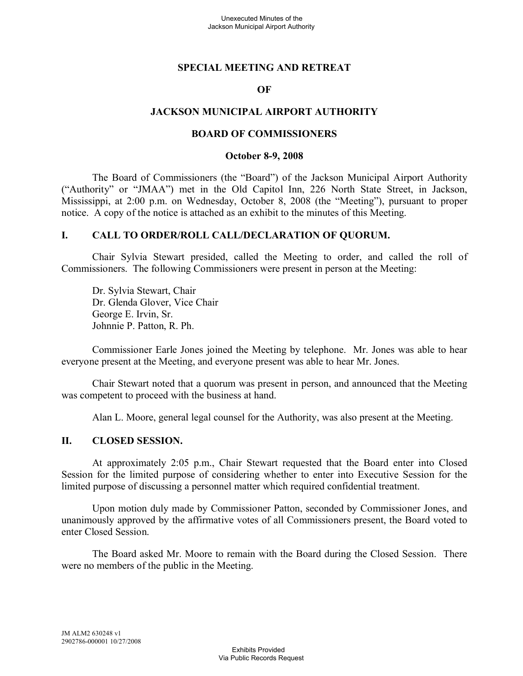### **SPECIAL MEETING AND RETREAT**

### **OF**

### **JACKSON MUNICIPAL AIRPORT AUTHORITY**

#### **BOARD OF COMMISSIONERS**

#### **October 8-9, 2008**

The Board of Commissioners (the "Board") of the Jackson Municipal Airport Authority ("Authority" or "JMAA") met in the Old Capitol Inn, 226 North State Street, in Jackson, Mississippi, at 2:00 p.m. on Wednesday, October 8, 2008 (the "Meeting"), pursuant to proper notice. A copy of the notice is attached as an exhibit to the minutes of this Meeting.

#### **I. CALL TO ORDER/ROLL CALL/DECLARATION OF QUORUM.**

Chair Sylvia Stewart presided, called the Meeting to order, and called the roll of Commissioners. The following Commissioners were present in person at the Meeting:

Dr. Sylvia Stewart, Chair Dr. Glenda Glover, Vice Chair George E. Irvin, Sr. Johnnie P. Patton, R. Ph.

Commissioner Earle Jones joined the Meeting by telephone. Mr. Jones was able to hear everyone present at the Meeting, and everyone present was able to hear Mr. Jones.

Chair Stewart noted that a quorum was present in person, and announced that the Meeting was competent to proceed with the business at hand.

Alan L. Moore, general legal counsel for the Authority, was also present at the Meeting.

#### **II. CLOSED SESSION.**

At approximately 2:05 p.m., Chair Stewart requested that the Board enter into Closed Session for the limited purpose of considering whether to enter into Executive Session for the limited purpose of discussing a personnel matter which required confidential treatment.

Upon motion duly made by Commissioner Patton, seconded by Commissioner Jones, and unanimously approved by the affirmative votes of all Commissioners present, the Board voted to enter Closed Session.

The Board asked Mr. Moore to remain with the Board during the Closed Session. There were no members of the public in the Meeting.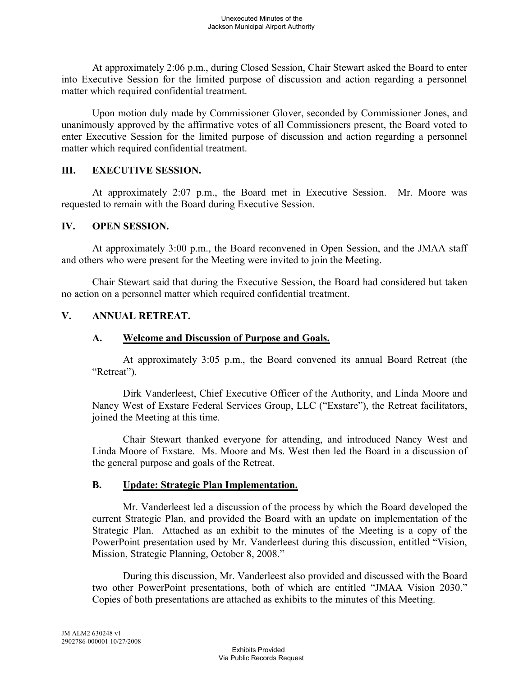At approximately 2:06 p.m., during Closed Session, Chair Stewart asked the Board to enter into Executive Session for the limited purpose of discussion and action regarding a personnel matter which required confidential treatment.

Upon motion duly made by Commissioner Glover, seconded by Commissioner Jones, and unanimously approved by the affirmative votes of all Commissioners present, the Board voted to enter Executive Session for the limited purpose of discussion and action regarding a personnel matter which required confidential treatment.

### **III. EXECUTIVE SESSION.**

At approximately 2:07 p.m., the Board met in Executive Session. Mr. Moore was requested to remain with the Board during Executive Session.

### **IV. OPEN SESSION.**

At approximately 3:00 p.m., the Board reconvened in Open Session, and the JMAA staff and others who were present for the Meeting were invited to join the Meeting.

Chair Stewart said that during the Executive Session, the Board had considered but taken no action on a personnel matter which required confidential treatment.

## **V. ANNUAL RETREAT.**

## **A. Welcome and Discussion of Purpose and Goals.**

At approximately 3:05 p.m., the Board convened its annual Board Retreat (the "Retreat").

Dirk Vanderleest, Chief Executive Officer of the Authority, and Linda Moore and Nancy West of Exstare Federal Services Group, LLC ("Exstare"), the Retreat facilitators, joined the Meeting at this time.

Chair Stewart thanked everyone for attending, and introduced Nancy West and Linda Moore of Exstare. Ms. Moore and Ms. West then led the Board in a discussion of the general purpose and goals of the Retreat.

## **B. Update: Strategic Plan Implementation.**

Mr. Vanderleest led a discussion of the process by which the Board developed the current Strategic Plan, and provided the Board with an update on implementation of the Strategic Plan. Attached as an exhibit to the minutes of the Meeting is a copy of the PowerPoint presentation used by Mr. Vanderleest during this discussion, entitled "Vision, Mission, Strategic Planning, October 8, 2008."

During this discussion, Mr. Vanderleest also provided and discussed with the Board two other PowerPoint presentations, both of which are entitled "JMAA Vision 2030." Copies of both presentations are attached as exhibits to the minutes of this Meeting.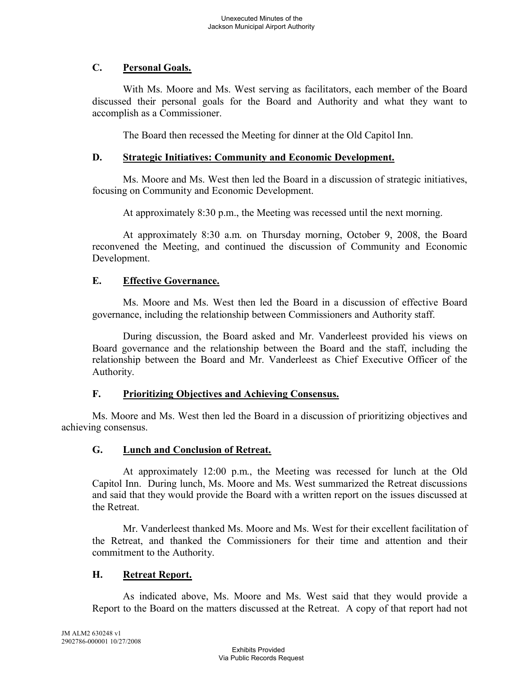# **C. Personal Goals.**

With Ms. Moore and Ms. West serving as facilitators, each member of the Board discussed their personal goals for the Board and Authority and what they want to accomplish as a Commissioner.

The Board then recessed the Meeting for dinner at the Old Capitol Inn.

## **D. Strategic Initiatives: Community and Economic Development.**

Ms. Moore and Ms. West then led the Board in a discussion of strategic initiatives, focusing on Community and Economic Development.

At approximately 8:30 p.m., the Meeting was recessed until the next morning.

At approximately 8:30 a.m. on Thursday morning, October 9, 2008, the Board reconvened the Meeting, and continued the discussion of Community and Economic Development.

## **E. Effective Governance.**

Ms. Moore and Ms. West then led the Board in a discussion of effective Board governance, including the relationship between Commissioners and Authority staff.

During discussion, the Board asked and Mr. Vanderleest provided his views on Board governance and the relationship between the Board and the staff, including the relationship between the Board and Mr. Vanderleest as Chief Executive Officer of the Authority.

# **F. Prioritizing Objectives and Achieving Consensus.**

Ms. Moore and Ms. West then led the Board in a discussion of prioritizing objectives and achieving consensus.

# **G. Lunch and Conclusion of Retreat.**

At approximately 12:00 p.m., the Meeting was recessed for lunch at the Old Capitol Inn. During lunch, Ms. Moore and Ms. West summarized the Retreat discussions and said that they would provide the Board with a written report on the issues discussed at the Retreat.

Mr. Vanderleest thanked Ms. Moore and Ms. West for their excellent facilitation of the Retreat, and thanked the Commissioners for their time and attention and their commitment to the Authority.

# **H. Retreat Report.**

As indicated above, Ms. Moore and Ms. West said that they would provide a Report to the Board on the matters discussed at the Retreat. A copy of that report had not